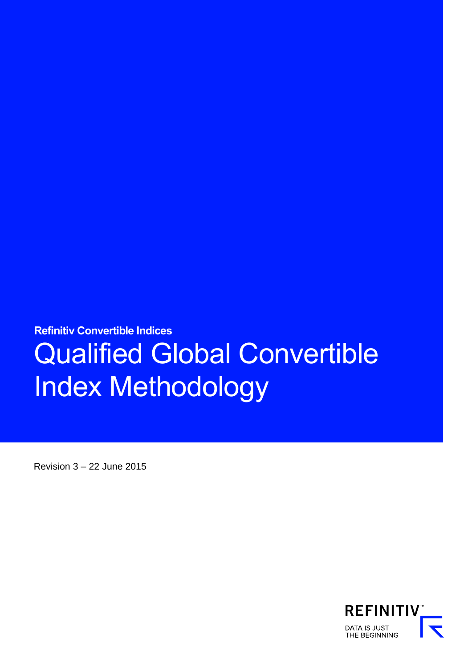**Refinitiv Convertible Indices**  Qualified Global Convertible Index Methodology

Revision 3 – 22 June 2015

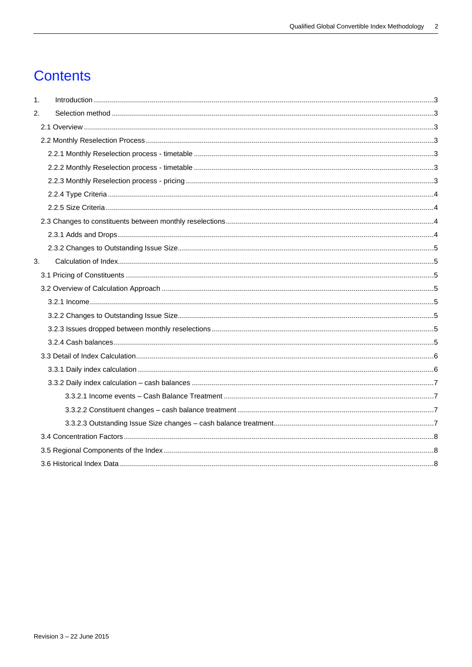# **Contents**

| $\mathbf 1$ . |  |
|---------------|--|
| 2.            |  |
|               |  |
|               |  |
|               |  |
|               |  |
|               |  |
|               |  |
|               |  |
|               |  |
|               |  |
|               |  |
| 3.            |  |
|               |  |
|               |  |
|               |  |
|               |  |
|               |  |
|               |  |
|               |  |
|               |  |
|               |  |
|               |  |
|               |  |
|               |  |
|               |  |
|               |  |
|               |  |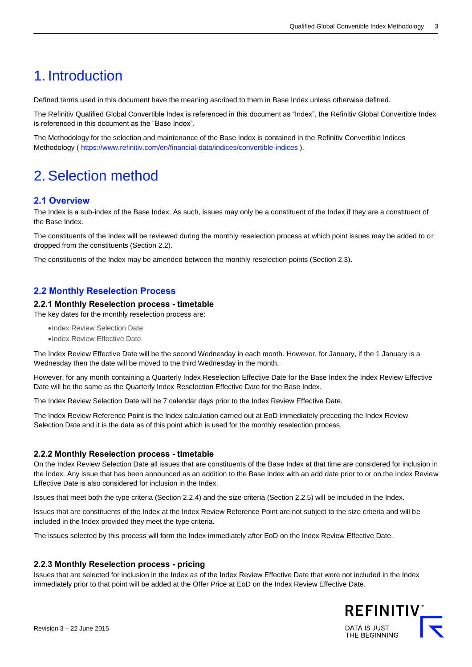# <span id="page-2-0"></span>1. Introduction

Defined terms used in this document have the meaning ascribed to them in Base Index unless otherwise defined.

The Refinitiv Qualified Global Convertible Index is referenced in this document as "Index", the Refinitiv Global Convertible Index is referenced in this document as the "Base Index".

The Methodology for the selection and maintenance of the Base Index is contained in the Refinitiv Convertible Indices Methodology (<https://www.refinitiv.com/en/financial-data/indices/convertible-indices> ).

# <span id="page-2-1"></span>2. Selection method

## <span id="page-2-2"></span>**2.1 Overview**

The Index is a sub-index of the Base Index. As such, issues may only be a constituent of the Index if they are a constituent of the Base Index.

The constituents of the Index will be reviewed during the monthly reselection process at which point issues may be added to or dropped from the constituents (Section 2.2).

The constituents of the Index may be amended between the monthly reselection points (Section 2.3).

# <span id="page-2-3"></span>**2.2 Monthly Reselection Process**

## <span id="page-2-4"></span>**2.2.1 Monthly Reselection process - timetable**

The key dates for the monthly reselection process are:

•Index Review Selection Date

•Index Review Effective Date

The Index Review Effective Date will be the second Wednesday in each month. However, for January, if the 1 January is a Wednesday then the date will be moved to the third Wednesday in the month.

However, for any month containing a Quarterly Index Reselection Effective Date for the Base Index the Index Review Effective Date will be the same as the Quarterly Index Reselection Effective Date for the Base Index.

The Index Review Selection Date will be 7 calendar days prior to the Index Review Effective Date.

The Index Review Reference Point is the Index calculation carried out at EoD immediately preceding the Index Review Selection Date and it is the data as of this point which is used for the monthly reselection process.

## <span id="page-2-5"></span>**2.2.2 Monthly Reselection process - timetable**

On the Index Review Selection Date all issues that are constituents of the Base Index at that time are considered for inclusion in the Index. Any issue that has been announced as an addition to the Base Index with an add date prior to or on the Index Review Effective Date is also considered for inclusion in the Index.

Issues that meet both the type criteria (Section 2.2.4) and the size criteria (Section 2.2.5) will be included in the Index.

Issues that are constituents of the Index at the Index Review Reference Point are not subject to the size criteria and will be included in the Index provided they meet the type criteria.

The issues selected by this process will form the Index immediately after EoD on the Index Review Effective Date.

## <span id="page-2-6"></span>**2.2.3 Monthly Reselection process - pricing**

Issues that are selected for inclusion in the Index as of the Index Review Effective Date that were not included in the Index immediately prior to that point will be added at the Offer Price at EoD on the Index Review Effective Date.

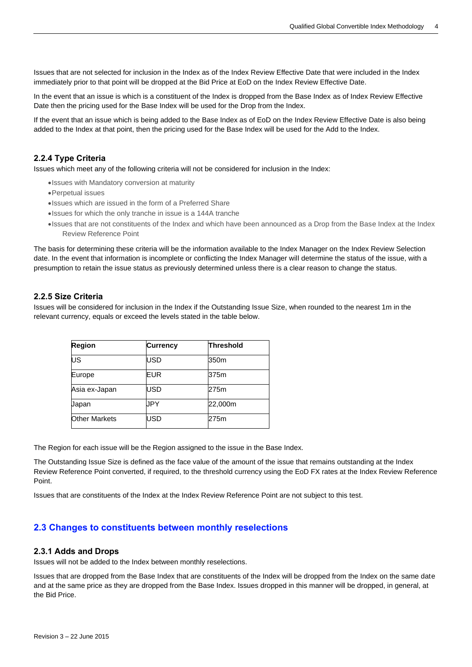Issues that are not selected for inclusion in the Index as of the Index Review Effective Date that were included in the Index immediately prior to that point will be dropped at the Bid Price at EoD on the Index Review Effective Date.

In the event that an issue is which is a constituent of the Index is dropped from the Base Index as of Index Review Effective Date then the pricing used for the Base Index will be used for the Drop from the Index.

If the event that an issue which is being added to the Base Index as of EoD on the Index Review Effective Date is also being added to the Index at that point, then the pricing used for the Base Index will be used for the Add to the Index.

## <span id="page-3-0"></span>**2.2.4 Type Criteria**

Issues which meet any of the following criteria will not be considered for inclusion in the Index:

- •Issues with Mandatory conversion at maturity
- •Perpetual issues
- •Issues which are issued in the form of a Preferred Share
- •Issues for which the only tranche in issue is a 144A tranche
- •Issues that are not constituents of the Index and which have been announced as a Drop from the Base Index at the Index Review Reference Point

The basis for determining these criteria will be the information available to the Index Manager on the Index Review Selection date. In the event that information is incomplete or conflicting the Index Manager will determine the status of the issue, with a presumption to retain the issue status as previously determined unless there is a clear reason to change the status.

## <span id="page-3-1"></span>**2.2.5 Size Criteria**

Issues will be considered for inclusion in the Index if the Outstanding Issue Size, when rounded to the nearest 1m in the relevant currency, equals or exceed the levels stated in the table below.

| <b>Region</b>        | <b>Currency</b> | <b>Threshold</b> |
|----------------------|-----------------|------------------|
| <b>US</b>            | <b>USD</b>      | 350m             |
| Europe               | EUR             | 375m             |
| Asia ex-Japan        | USD             | 275m             |
| Japan                | JPY             | 22,000m          |
| <b>Other Markets</b> | USD             | 275m             |

The Region for each issue will be the Region assigned to the issue in the Base Index.

The Outstanding Issue Size is defined as the face value of the amount of the issue that remains outstanding at the Index Review Reference Point converted, if required, to the threshold currency using the EoD FX rates at the Index Review Reference Point.

Issues that are constituents of the Index at the Index Review Reference Point are not subject to this test.

## <span id="page-3-2"></span>**2.3 Changes to constituents between monthly reselections**

#### <span id="page-3-3"></span>**2.3.1 Adds and Drops**

Issues will not be added to the Index between monthly reselections.

Issues that are dropped from the Base Index that are constituents of the Index will be dropped from the Index on the same date and at the same price as they are dropped from the Base Index. Issues dropped in this manner will be dropped, in general, at the Bid Price.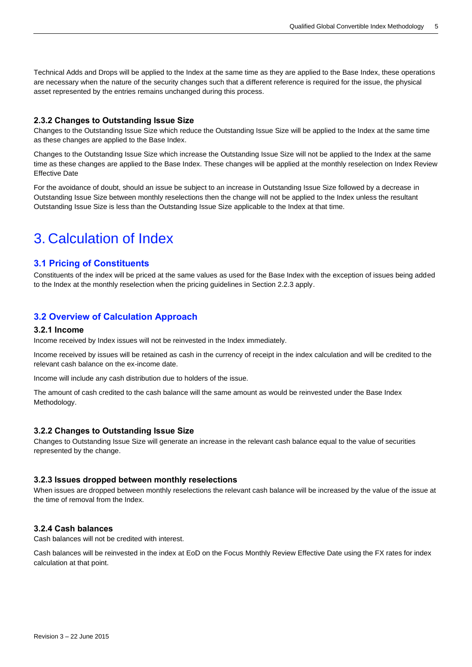Technical Adds and Drops will be applied to the Index at the same time as they are applied to the Base Index, these operations are necessary when the nature of the security changes such that a different reference is required for the issue, the physical asset represented by the entries remains unchanged during this process.

## <span id="page-4-0"></span>**2.3.2 Changes to Outstanding Issue Size**

Changes to the Outstanding Issue Size which reduce the Outstanding Issue Size will be applied to the Index at the same time as these changes are applied to the Base Index.

Changes to the Outstanding Issue Size which increase the Outstanding Issue Size will not be applied to the Index at the same time as these changes are applied to the Base Index. These changes will be applied at the monthly reselection on Index Review Effective Date

For the avoidance of doubt, should an issue be subject to an increase in Outstanding Issue Size followed by a decrease in Outstanding Issue Size between monthly reselections then the change will not be applied to the Index unless the resultant Outstanding Issue Size is less than the Outstanding Issue Size applicable to the Index at that time.

# <span id="page-4-1"></span>3. Calculation of Index

## <span id="page-4-2"></span>**3.1 Pricing of Constituents**

Constituents of the index will be priced at the same values as used for the Base Index with the exception of issues being added to the Index at the monthly reselection when the pricing guidelines in Section 2.2.3 apply.

## <span id="page-4-3"></span>**3.2 Overview of Calculation Approach**

#### <span id="page-4-4"></span>**3.2.1 Income**

Income received by Index issues will not be reinvested in the Index immediately.

Income received by issues will be retained as cash in the currency of receipt in the index calculation and will be credited to the relevant cash balance on the ex-income date.

Income will include any cash distribution due to holders of the issue.

The amount of cash credited to the cash balance will the same amount as would be reinvested under the Base Index Methodology.

## <span id="page-4-5"></span>**3.2.2 Changes to Outstanding Issue Size**

Changes to Outstanding Issue Size will generate an increase in the relevant cash balance equal to the value of securities represented by the change.

## <span id="page-4-6"></span>**3.2.3 Issues dropped between monthly reselections**

When issues are dropped between monthly reselections the relevant cash balance will be increased by the value of the issue at the time of removal from the Index.

## <span id="page-4-7"></span>**3.2.4 Cash balances**

Cash balances will not be credited with interest.

Cash balances will be reinvested in the index at EoD on the Focus Monthly Review Effective Date using the FX rates for index calculation at that point.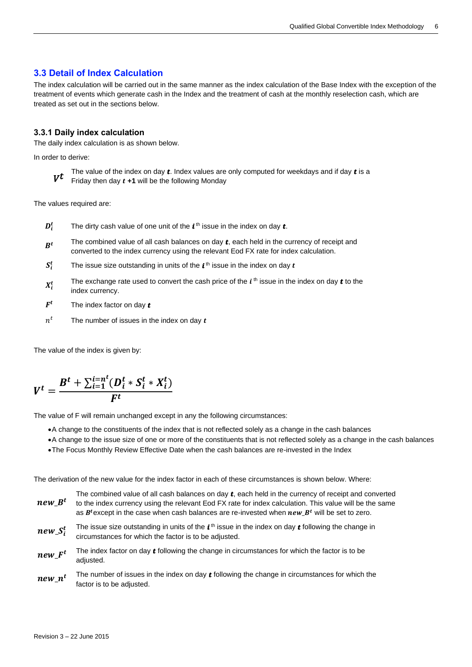## <span id="page-5-0"></span>**3.3 Detail of Index Calculation**

The index calculation will be carried out in the same manner as the index calculation of the Base Index with the exception of the treatment of events which generate cash in the Index and the treatment of cash at the monthly reselection cash, which are treated as set out in the sections below.

## <span id="page-5-1"></span>**3.3.1 Daily index calculation**

The daily index calculation is as shown below.

In order to derive:

 $V^t$ The value of the index on day  $t$ . Index values are only computed for weekdays and if day  $t$  is a Friday then day  $t + 1$  will be the following Monday

The values required are:

- $\boldsymbol{D}_i^t$  $\boldsymbol{t}_{i}^t$  The dirty cash value of one unit of the  $\boldsymbol{t}$ <sup>th</sup> issue in the index on day  $\boldsymbol{t}$ .
- $R^t$ The combined value of all cash balances on day  $t$ , each held in the currency of receipt and converted to the index currency using the relevant Eod FX rate for index calculation.
- $S_i^t$  $\frac{t}{t}$  The issue size outstanding in units of the  $\bm{t}^{\, \text{th}}$  issue in the index on day  $\bm{t}$
- $X_i^t$ t The exchange rate used to convert the cash price of the *i* <sup>th</sup> issue in the index on day **t** to the index currency.
- $F^t$ The index factor on day  $t$
- $n^t$ The number of issues in the index on day  $t$

The value of the index is given by:

$$
V^{t} = \frac{B^{t} + \sum_{i=1}^{i=n^{t}} (D_{i}^{t} * S_{i}^{t} * X_{i}^{t})}{F^{t}}
$$

The value of F will remain unchanged except in any the following circumstances:

- •A change to the constituents of the index that is not reflected solely as a change in the cash balances
- •A change to the issue size of one or more of the constituents that is not reflected solely as a change in the cash balances
- •The Focus Monthly Review Effective Date when the cash balances are re-invested in the Index

The derivation of the new value for the index factor in each of these circumstances is shown below. Where:

| $new$ $Bt$   | The combined value of all cash balances on day $t$ , each held in the currency of receipt and converted<br>to the index currency using the relevant Eod FX rate for index calculation. This value will be the same<br>as $B^t$ except in the case when cash balances are re-invested when $new_B^t$ will be set to zero. |
|--------------|--------------------------------------------------------------------------------------------------------------------------------------------------------------------------------------------------------------------------------------------------------------------------------------------------------------------------|
| $new\_S_i^t$ | The issue size outstanding in units of the $tth$ issue in the index on day $t$ following the change in<br>circumstances for which the factor is to be adjusted.                                                                                                                                                          |
| $new_F^t$    | The index factor on day $t$ following the change in circumstances for which the factor is to be<br>adjusted.                                                                                                                                                                                                             |
| $n$ and $t$  | The number of issues in the index on day $t$ following the change in circumstances for which the                                                                                                                                                                                                                         |

 $new_n$  $_t$  The number of issues in the index on day  $t$  following the change in circumstances for which the factor is to be adjusted.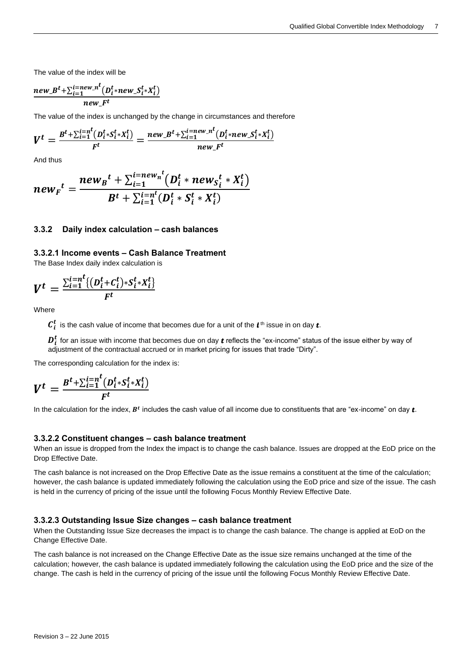The value of the index will be

$$
\frac{new_{\mathit{B}}^{t} + \sum_{i=1}^{i=new_{\mathit{B}}^{t}} (D_{i}^{t} * new_{\mathit{B}} S_{i}^{t} * X_{i}^{t})}{new_{\mathit{B}}^{t}}
$$

The value of the index is unchanged by the change in circumstances and therefore

$$
V^{t} = \frac{B^{t} + \sum_{i=1}^{i=n^{t}} (D_{i}^{t} * S_{i}^{t} * X_{i}^{t})}{F^{t}} = \frac{new_{\cdot}B^{t} + \sum_{i=1}^{i=new_{\cdot}n^{t}} (D_{i}^{t} * new_{\cdot}S_{i}^{t} * X_{i}^{t})}{new_{\cdot}F^{t}}
$$

And thus

$$
new_{F}^{t} = \frac{new_{B}^{t} + \sum_{i=1}^{i=new_{n}^{t}} (D_{i}^{t} * new_{S_{i}^{t}} * X_{i}^{t})}{B^{t} + \sum_{i=1}^{i=n^{t}} (D_{i}^{t} * S_{i}^{t} * X_{i}^{t})}
$$

#### <span id="page-6-0"></span>**3.3.2 Daily index calculation – cash balances**

#### <span id="page-6-1"></span>**3.3.2.1 Income events – Cash Balance Treatment**

The Base Index daily index calculation is

$$
V^t = \frac{\sum_{i=1}^{i=n} \{ (D_i^t + C_i^t) * S_i^t * X_i^t \}}{F^t}
$$

Where

 $\bm{\mathcal{C}}_t^{\bm{t}}$  is the cash value of income that becomes due for a unit of the  $\bm{t}$  th issue in on day  $\bm{t}$ .

 $\bm{D_t^t}$  for an issue with income that becomes due on day  $\bm{t}$  reflects the "ex-income" status of the issue either by way of adjustment of the contractual accrued or in market pricing for issues that trade "Dirty".

The corresponding calculation for the index is:

$$
V^t = \frac{B^t + \sum_{i=1}^{i=n} (D_i^t * S_i^t * X_i^t)}{F^t}
$$

In the calculation for the index,  $B^t$  includes the cash value of all income due to constituents that are "ex-income" on day  $\bm{t}$ .

#### <span id="page-6-2"></span>**3.3.2.2 Constituent changes – cash balance treatment**

When an issue is dropped from the Index the impact is to change the cash balance. Issues are dropped at the EoD price on the Drop Effective Date.

The cash balance is not increased on the Drop Effective Date as the issue remains a constituent at the time of the calculation; however, the cash balance is updated immediately following the calculation using the EoD price and size of the issue. The cash is held in the currency of pricing of the issue until the following Focus Monthly Review Effective Date.

#### <span id="page-6-3"></span>**3.3.2.3 Outstanding Issue Size changes – cash balance treatment**

When the Outstanding Issue Size decreases the impact is to change the cash balance. The change is applied at EoD on the Change Effective Date.

The cash balance is not increased on the Change Effective Date as the issue size remains unchanged at the time of the calculation; however, the cash balance is updated immediately following the calculation using the EoD price and the size of the change. The cash is held in the currency of pricing of the issue until the following Focus Monthly Review Effective Date.